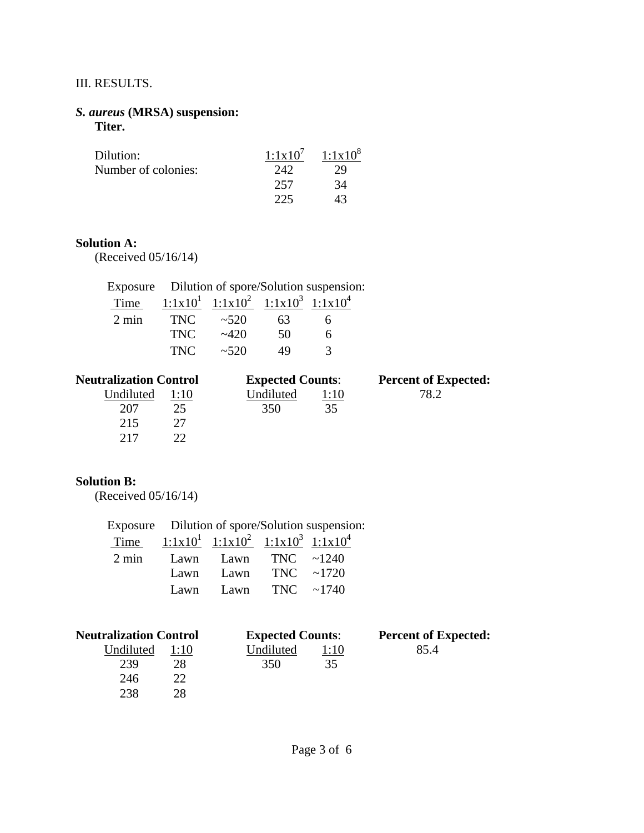## III. RESULTS.

#### *S. aureus* **(MRSA) suspension: Titer.**

| Dilution:           | $1:1 \times 10^7$ | $1:1 \times 10^8$ |
|---------------------|-------------------|-------------------|
| Number of colonies: | 242               | 29                |
|                     | 257               | 34                |
|                     | 225               | 43                |

#### **Solution A:**

(Received 05/16/14)

|                 | Exposure Dilution of spore/Solution suspension: |                                             |    |   |  |
|-----------------|-------------------------------------------------|---------------------------------------------|----|---|--|
| Time            |                                                 | $1:1x10^1$ $1:1x10^2$ $1:1x10^3$ $1:1x10^4$ |    |   |  |
| $2 \text{ min}$ | <b>TNC</b>                                      | ~1.520                                      | 63 | 6 |  |
|                 | <b>TNC</b>                                      | $-420$                                      | 50 |   |  |
|                 | TNC.                                            | ~1.520                                      | 49 | 2 |  |

| <b>Neutralization Control</b> |      | <b>Expected Counts:</b> |      | <b>Percent of Expected:</b> |
|-------------------------------|------|-------------------------|------|-----------------------------|
| Undiluted                     | 1:10 | Undiluted               | 1:10 | 78 J                        |
| 207                           | 25   | 350                     | 35   |                             |
| 215                           |      |                         |      |                             |
| 217                           |      |                         |      |                             |

## **Solution B:**

(Received 05/16/14)

Exposure Dilution of spore/Solution suspension:

| Time $1:1x10^1$ $1:1x10^2$ $1:1x10^3$ $1:1x10^4$ |                           |  |
|--------------------------------------------------|---------------------------|--|
| $2 \text{ min}$ Lawn Lawn TNC ~1240              |                           |  |
|                                                  | Lawn Lawn TNC $\sim$ 1720 |  |
|                                                  | Lawn Lawn TNC $\sim$ 1740 |  |

| <b>Neutralization Control</b> |      | <b>Expected Counts:</b> |      | <b>Percent of Expected:</b> |
|-------------------------------|------|-------------------------|------|-----------------------------|
| Undiluted                     | 1:10 | Undiluted               | 1:10 | 85.4                        |
| 239                           | 28   | 350                     | 35   |                             |
| 246                           | າາ   |                         |      |                             |
| 238                           | ንՋ   |                         |      |                             |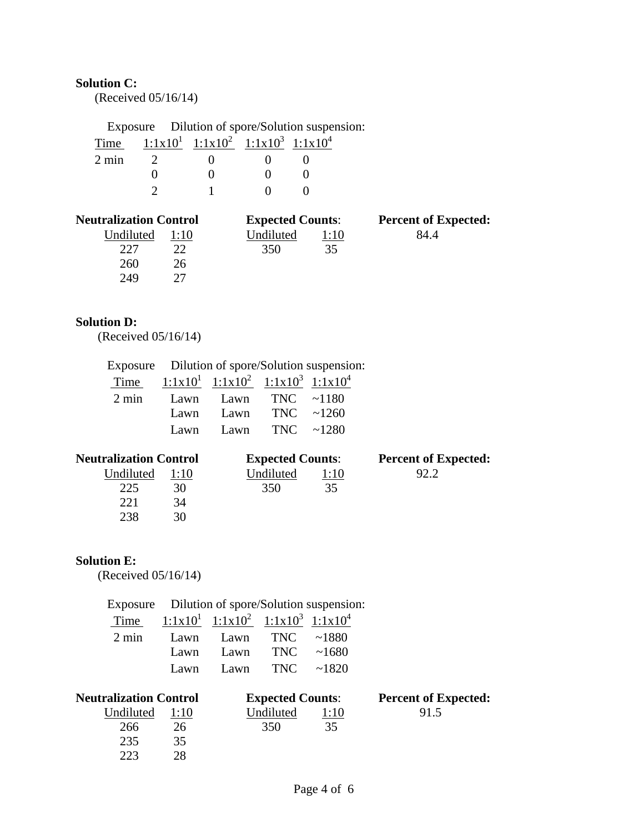# **Solution C:**

(Received 05/16/14)

|                 |                                             | Exposure Dilution of spore/Solution suspension: |
|-----------------|---------------------------------------------|-------------------------------------------------|
| Time            | $1:1x10^1$ $1:1x10^2$ $1:1x10^3$ $1:1x10^4$ |                                                 |
| $2 \text{ min}$ |                                             |                                                 |
|                 |                                             |                                                 |
|                 |                                             |                                                 |

| <b>Neutralization Control</b> |      | <b>Expected Counts:</b> |      | <b>Percent of Expected:</b> |
|-------------------------------|------|-------------------------|------|-----------------------------|
| Undiluted                     | 1:10 | Undiluted               | 1:10 | 84.4                        |
| 227                           |      | 350                     | 35   |                             |
| 260                           | 26   |                         |      |                             |
| 249                           |      |                         |      |                             |

## **Solution D:**

(Received 05/16/14)

|                 |      |                                             |                      | Exposure Dilution of spore/Solution suspension: |
|-----------------|------|---------------------------------------------|----------------------|-------------------------------------------------|
| Time            |      | $1:1x10^1$ $1:1x10^2$ $1:1x10^3$ $1:1x10^4$ |                      |                                                 |
| $2 \text{ min}$ | Lawn |                                             | Lawn TNC $\sim$ 1180 |                                                 |
|                 | Lawn | Lawn                                        | TNC $\sim$ 1260      |                                                 |
|                 | Lawn |                                             | Lawn TNC $\sim$ 1280 |                                                 |

| <b>Neutralization Control</b> |      | <b>Expected Counts:</b> |      | <b>Percent of Expected:</b> |
|-------------------------------|------|-------------------------|------|-----------------------------|
| Undiluted                     | 1:10 | Undiluted               | 1:10 | 92.2                        |
| 225                           | 30   | 350                     | 35   |                             |
| 22.1                          | 34   |                         |      |                             |
| 238                           | 30   |                         |      |                             |

## **Solution E:**

(Received 05/16/14)

|                 |      |                                             |                 | Exposure Dilution of spore/Solution suspension: |
|-----------------|------|---------------------------------------------|-----------------|-------------------------------------------------|
| Time            |      | $1:1x10^1$ $1:1x10^2$ $1:1x10^3$ $1:1x10^4$ |                 |                                                 |
| $2 \text{ min}$ |      | Lawn Lawn                                   | TNC $\sim$ 1880 |                                                 |
|                 | Lawn | Lawn                                        | <b>TNC</b>      | ~1680                                           |
|                 | Lawn | Lawn                                        | TNC             | ~1820                                           |

| <b>Neutralization Control</b> |      | <b>Expected Counts:</b> |             | <b>Percent of Expected:</b> |
|-------------------------------|------|-------------------------|-------------|-----------------------------|
| Undiluted                     | 1:10 | Undiluted               | <u>l:10</u> | 91.5                        |
| 266                           | 26   | 350                     | 35          |                             |
| 235                           | 35   |                         |             |                             |
| 223                           | 28   |                         |             |                             |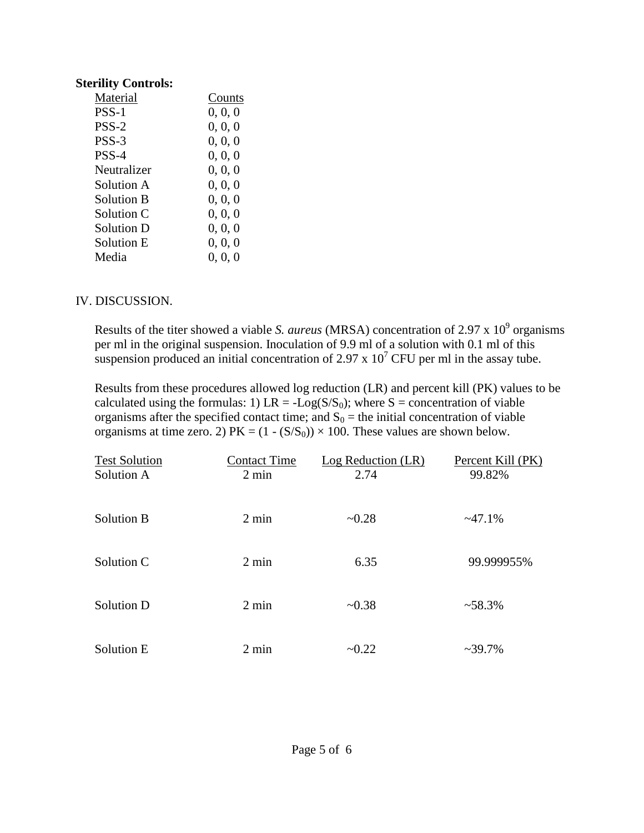### **Sterility Controls:**

| Counts  |
|---------|
| 0, 0, 0 |
| 0, 0, 0 |
| 0, 0, 0 |
| 0, 0, 0 |
| 0, 0, 0 |
| 0, 0, 0 |
| 0, 0, 0 |
| 0, 0, 0 |
| 0, 0, 0 |
| 0, 0, 0 |
| 0, 0, 0 |
|         |

### IV. DISCUSSION.

Results of the titer showed a viable *S. aureus* (MRSA) concentration of 2.97 x 10<sup>9</sup> organisms per ml in the original suspension. Inoculation of 9.9 ml of a solution with 0.1 ml of this suspension produced an initial concentration of 2.97 x  $10^7$  CFU per ml in the assay tube.

Results from these procedures allowed log reduction (LR) and percent kill (PK) values to be calculated using the formulas: 1) LR = -Log( $S/S<sub>0</sub>$ ); where S = concentration of viable organisms after the specified contact time; and  $S_0$  = the initial concentration of viable organisms at time zero. 2) PK =  $(1 - (S/S_0)) \times 100$ . These values are shown below.

| <b>Test Solution</b><br>Solution A<br>Solution B | <b>Contact Time</b><br>$2 \text{ min}$ | Log Reduction (LR)<br>2.74 | Percent Kill (PK)<br>99.82% |
|--------------------------------------------------|----------------------------------------|----------------------------|-----------------------------|
|                                                  | $2 \text{ min}$                        | ~10.28                     | ~196                        |
| Solution C                                       | $2 \text{ min}$                        | 6.35                       | 99.999955%                  |
| Solution D                                       | $2 \text{ min}$                        | ~10.38                     | $~58.3\%$                   |
| Solution E                                       | $2 \text{ min}$                        | $-0.22$                    | $~239.7\%$                  |